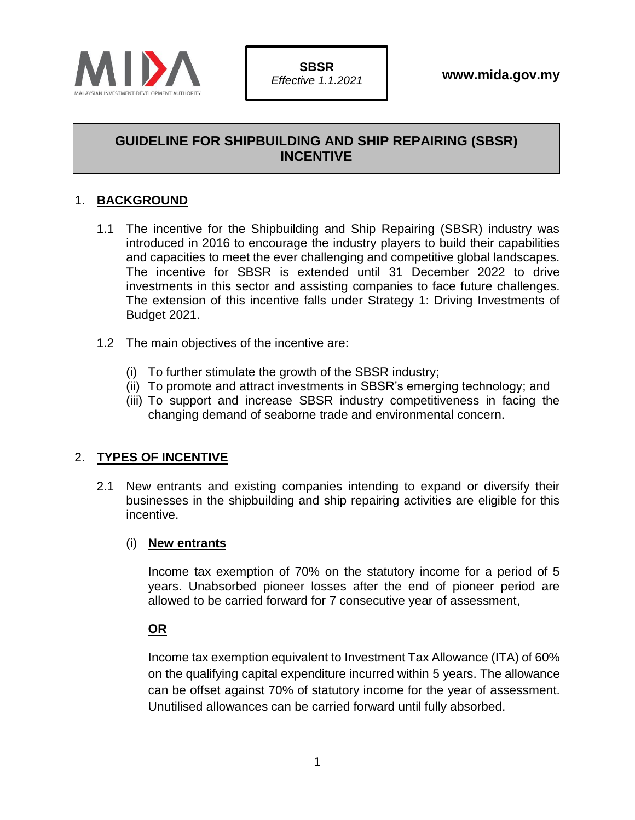

# **GUIDELINE FOR SHIPBUILDING AND SHIP REPAIRING (SBSR) INCENTIVE**

## 1. **BACKGROUND**

- 1.1 The incentive for the Shipbuilding and Ship Repairing (SBSR) industry was introduced in 2016 to encourage the industry players to build their capabilities and capacities to meet the ever challenging and competitive global landscapes. The incentive for SBSR is extended until 31 December 2022 to drive investments in this sector and assisting companies to face future challenges. The extension of this incentive falls under Strategy 1: Driving Investments of Budget 2021.
- 1.2 The main objectives of the incentive are:
	- (i) To further stimulate the growth of the SBSR industry;
	- (ii) To promote and attract investments in SBSR's emerging technology; and
	- (iii) To support and increase SBSR industry competitiveness in facing the changing demand of seaborne trade and environmental concern.

### 2. **TYPES OF INCENTIVE**

2.1 New entrants and existing companies intending to expand or diversify their businesses in the shipbuilding and ship repairing activities are eligible for this incentive.

#### (i) **New entrants**

Income tax exemption of 70% on the statutory income for a period of 5 years. Unabsorbed pioneer losses after the end of pioneer period are allowed to be carried forward for 7 consecutive year of assessment,

### **OR**

Income tax exemption equivalent to Investment Tax Allowance (ITA) of 60% on the qualifying capital expenditure incurred within 5 years. The allowance can be offset against 70% of statutory income for the year of assessment. Unutilised allowances can be carried forward until fully absorbed.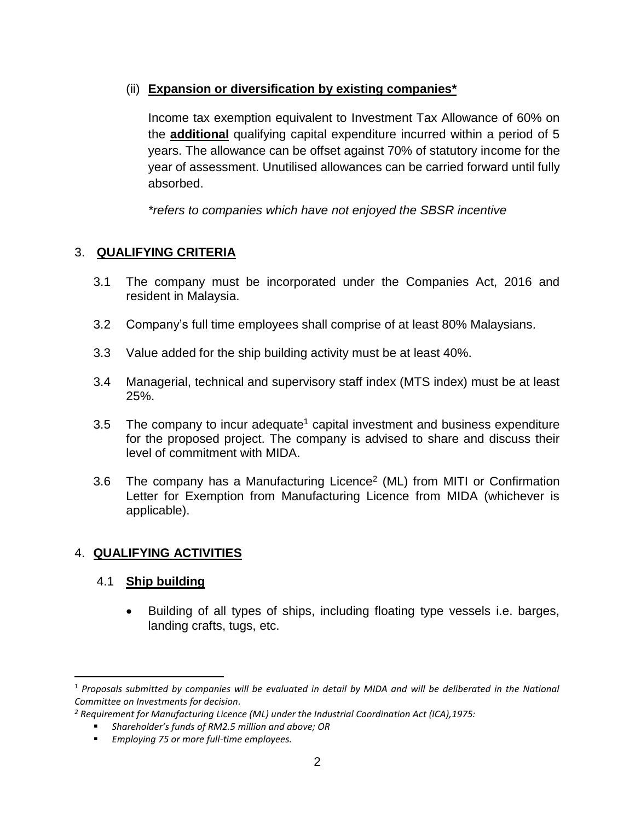## (ii) **Expansion or diversification by existing companies\***

Income tax exemption equivalent to Investment Tax Allowance of 60% on the **additional** qualifying capital expenditure incurred within a period of 5 years. The allowance can be offset against 70% of statutory income for the year of assessment. Unutilised allowances can be carried forward until fully absorbed.

*\*refers to companies which have not enjoyed the SBSR incentive*

## 3. **QUALIFYING CRITERIA**

- 3.1 The company must be incorporated under the Companies Act, 2016 and resident in Malaysia.
- 3.2 Company's full time employees shall comprise of at least 80% Malaysians.
- 3.3 Value added for the ship building activity must be at least 40%.
- 3.4 Managerial, technical and supervisory staff index (MTS index) must be at least 25%.
- 3.5 The company to incur adequate<sup>1</sup> capital investment and business expenditure for the proposed project. The company is advised to share and discuss their level of commitment with MIDA.
- 3.6 The company has a Manufacturing Licence<sup>2</sup> (ML) from MITI or Confirmation Letter for Exemption from Manufacturing Licence from MIDA (whichever is applicable).

## 4. **QUALIFYING ACTIVITIES**

### 4.1 **Ship building**

 $\overline{\phantom{a}}$ 

• Building of all types of ships, including floating type vessels i.e. barges, landing crafts, tugs, etc.

<sup>1</sup> *Proposals submitted by companies will be evaluated in detail by MIDA and will be deliberated in the National Committee on Investments for decision.*

*<sup>2</sup> Requirement for Manufacturing Licence (ML) under the Industrial Coordination Act (ICA),1975:*

<sup>▪</sup> *Shareholder's funds of RM2.5 million and above; OR*

<sup>▪</sup> *Employing 75 or more full-time employees.*